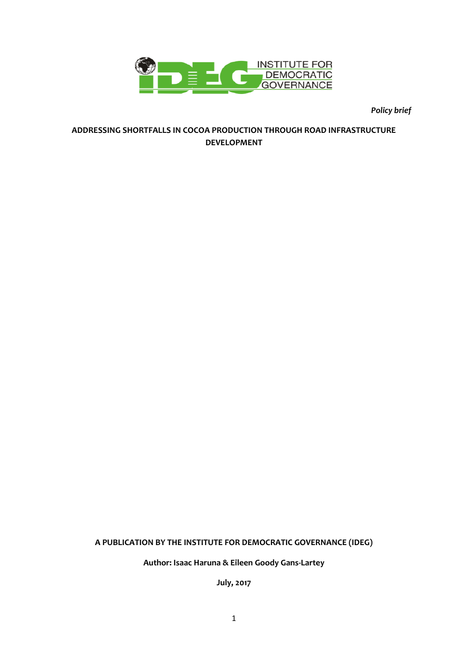

*Policy brief* 

#### **ADDRESSING SHORTFALLS IN COCOA PRODUCTION THROUGH ROAD INFRASTRUCTURE DEVELOPMENT**

### **A PUBLICATION BY THE INSTITUTE FOR DEMOCRATIC GOVERNANCE (IDEG)**

**Author: Isaac Haruna & Eileen Goody Gans-Lartey**

**July, 2017**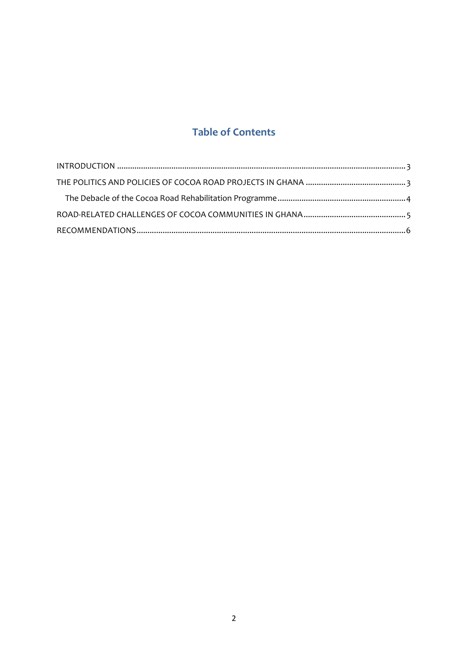# **Table of Contents**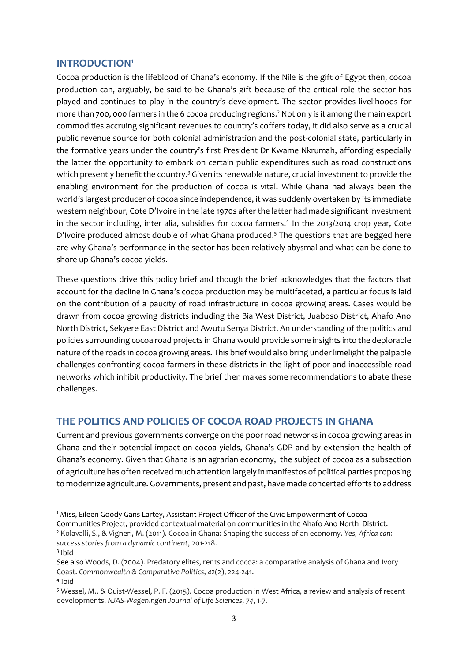#### <span id="page-2-0"></span>**INTRODUCTION<sup>1</sup>**

Cocoa production is the lifeblood of Ghana's economy. If the Nile is the gift of Egypt then, cocoa production can, arguably, be said to be Ghana's gift because of the critical role the sector has played and continues to play in the country's development. The sector provides livelihoods for more than 700, 000 farmers in the 6 cocoa producing regions.<sup>2</sup> Not only is it among the main export commodities accruing significant revenues to country's coffers today, it did also serve as a crucial public revenue source for both colonial administration and the post-colonial state, particularly in the formative years under the country's first President Dr Kwame Nkrumah, affording especially the latter the opportunity to embark on certain public expenditures such as road constructions which presently benefit the country.<sup>3</sup> Given its renewable nature, crucial investment to provide the enabling environment for the production of cocoa is vital. While Ghana had always been the world's largest producer of cocoa since independence, it was suddenly overtaken by its immediate western neighbour, Cote D'Ivoire in the late 1970s after the latter had made significant investment in the sector including, inter alia, subsidies for cocoa farmers.<sup>4</sup> In the 2013/2014 crop year, Cote D'Ivoire produced almost double of what Ghana produced.<sup>5</sup> The questions that are begged here are why Ghana's performance in the sector has been relatively abysmal and what can be done to shore up Ghana's cocoa yields.

These questions drive this policy brief and though the brief acknowledges that the factors that account for the decline in Ghana's cocoa production may be multifaceted, a particular focus is laid on the contribution of a paucity of road infrastructure in cocoa growing areas. Cases would be drawn from cocoa growing districts including the Bia West District, Juaboso District, Ahafo Ano North District, Sekyere East District and Awutu Senya District. An understanding of the politics and policies surrounding cocoa road projects in Ghana would provide some insights into the deplorable nature of the roads in cocoa growing areas. This brief would also bring under limelight the palpable challenges confronting cocoa farmers in these districts in the light of poor and inaccessible road networks which inhibit productivity. The brief then makes some recommendations to abate these challenges.

### <span id="page-2-1"></span>**THE POLITICS AND POLICIES OF COCOA ROAD PROJECTS IN GHANA**

Current and previous governments converge on the poor road networks in cocoa growing areas in Ghana and their potential impact on cocoa yields, Ghana's GDP and by extension the health of Ghana's economy. Given that Ghana is an agrarian economy, the subject of cocoa as a subsection of agriculture has often received much attention largely in manifestos of political parties proposing to modernize agriculture. Governments, present and past, have made concerted efforts to address

**.** 

<sup>1</sup> Miss, Eileen Goody Gans Lartey, Assistant Project Officer of the Civic Empowerment of Cocoa

Communities Project, provided contextual material on communities in the Ahafo Ano North District. <sup>2</sup> Kolavalli, S., & Vigneri, M. (2011). Cocoa in Ghana: Shaping the success of an economy. *Yes, Africa can: success stories from a dynamic continent*, 201-218.

<sup>3</sup> Ibid

See also Woods, D. (2004). Predatory elites, rents and cocoa: a comparative analysis of Ghana and Ivory Coast. *Commonwealth & Comparative Politics*, *42*(2), 224-241.

<sup>4</sup> Ibid

<sup>5</sup> Wessel, M., & Quist-Wessel, P. F. (2015). Cocoa production in West Africa, a review and analysis of recent developments. *NJAS-Wageningen Journal of Life Sciences*, *74*, 1-7.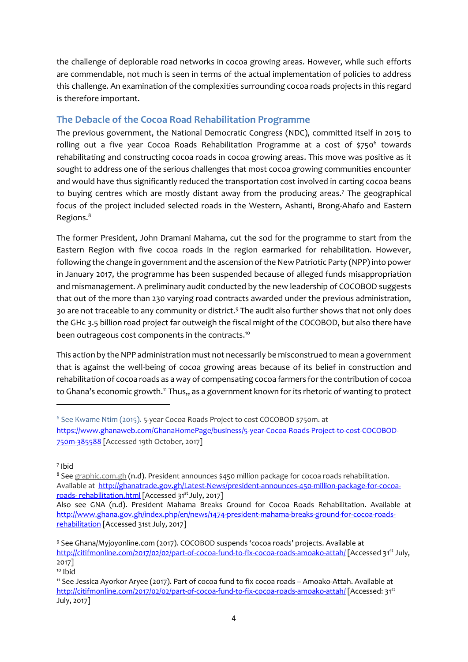the challenge of deplorable road networks in cocoa growing areas. However, while such efforts are commendable, not much is seen in terms of the actual implementation of policies to address this challenge. An examination of the complexities surrounding cocoa roads projects in this regard is therefore important.

# <span id="page-3-0"></span>**The Debacle of the Cocoa Road Rehabilitation Programme**

The previous government, the National Democratic Congress (NDC), committed itself in 2015 to rolling out a five year Cocoa Roads Rehabilitation Programme at a cost of \$750<sup>6</sup> towards rehabilitating and constructing cocoa roads in cocoa growing areas. This move was positive as it sought to address one of the serious challenges that most cocoa growing communities encounter and would have thus significantly reduced the transportation cost involved in carting cocoa beans to buying centres which are mostly distant away from the producing areas.<sup>7</sup> The geographical focus of the project included selected roads in the Western, Ashanti, Brong-Ahafo and Eastern Regions. 8

The former President, John Dramani Mahama, cut the sod for the programme to start from the Eastern Region with five cocoa roads in the region earmarked for rehabilitation. However, following the change in government and the ascension of the New Patriotic Party (NPP) into power in January 2017, the programme has been suspended because of alleged funds misappropriation and mismanagement. A preliminary audit conducted by the new leadership of COCOBOD suggests that out of the more than 230 varying road contracts awarded under the previous administration, 30 are not traceable to any community or district.<sup>9</sup> The audit also further shows that not only does the GH¢ 3.5 billion road project far outweigh the fiscal might of the COCOBOD, but also there have been outrageous cost components in the contracts.<sup>10</sup>

This action by the NPP administration must not necessarily be misconstrued to mean a government that is against the well-being of cocoa growing areas because of its belief in construction and rehabilitation of cocoa roads as a way of compensating cocoa farmers for the contribution of cocoa to Ghana's economic growth.<sup>11</sup> Thus,, as a government known for its rhetoric of wanting to protect

**.** 

8 See [graphic.com.gh](http://ghanatrade.gov.gh/graphic.com.gh) (n.d). President announces \$450 million package for cocoa roads rehabilitation. Available at [http://ghanatrade.gov.gh/Latest-News/president-announces-450-million-package-for-cocoa](http://ghanatrade.gov.gh/Latest-News/president-announces-450-million-package-for-cocoa-roads-%20rehabilitation.html)roads- [rehabilitation.html](http://ghanatrade.gov.gh/Latest-News/president-announces-450-million-package-for-cocoa-roads-%20rehabilitation.html) [Accessed 31st July, 2017]

<sup>&</sup>lt;sup>6</sup> See Kwame Ntim (2015). 5-year Cocoa Roads Project to cost COCOBOD \$750m. at

[https://www.ghanaweb.com/GhanaHomePage/business/5-year-Cocoa-Roads-Project-to-cost-COCOBOD-](https://www.ghanaweb.com/GhanaHomePage/business/5-year-Cocoa-Roads-Project-to-cost-COCOBOD-750m-385588)[750m-385588](https://www.ghanaweb.com/GhanaHomePage/business/5-year-Cocoa-Roads-Project-to-cost-COCOBOD-750m-385588) [Accessed 19th October, 2017]

<sup>7</sup> Ibid

Also see GNA (n.d). President Mahama Breaks Ground for Cocoa Roads Rehabilitation. Available at [http://www.ghana.gov.gh/index.php/en/news/1474-president-mahama-breaks-ground-for-cocoa-roads](http://www.ghana.gov.gh/index.php/en/news/1474-president-mahama-breaks-ground-for-cocoa-roads-rehabilitation)[rehabilitation](http://www.ghana.gov.gh/index.php/en/news/1474-president-mahama-breaks-ground-for-cocoa-roads-rehabilitation) [Accessed 31st July, 2017]

<sup>9</sup> See Ghana/Myjoyonline.com (2017). COCOBOD suspends 'cocoa roads' projects. Available at <http://citifmonline.com/2017/02/02/part-of-cocoa-fund-to-fix-cocoa-roads-amoako-attah/> [Accessed 31st July, 2017]

<sup>10</sup> Ibid

<sup>11</sup> See Jessica Ayorkor Aryee (2017). Part of cocoa fund to fix cocoa roads – Amoako-Attah. Available at <http://citifmonline.com/2017/02/02/part-of-cocoa-fund-to-fix-cocoa-roads-amoako-attah/> [Accessed: 31st July, 2017]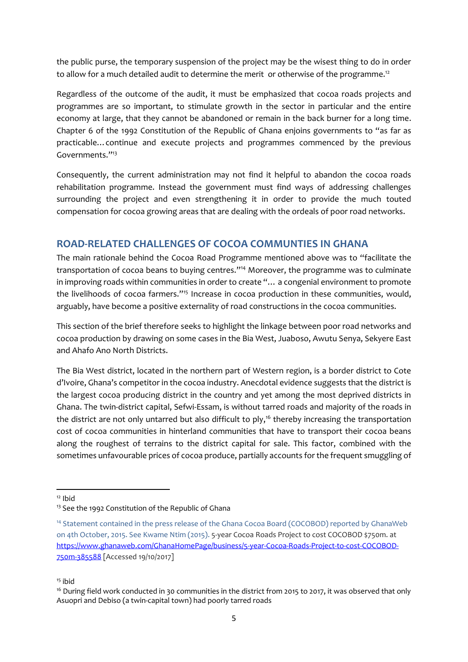the public purse, the temporary suspension of the project may be the wisest thing to do in order to allow for a much detailed audit to determine the merit or otherwise of the programme.<sup>12</sup>

Regardless of the outcome of the audit, it must be emphasized that cocoa roads projects and programmes are so important, to stimulate growth in the sector in particular and the entire economy at large, that they cannot be abandoned or remain in the back burner for a long time. Chapter 6 of the 1992 Constitution of the Republic of Ghana enjoins governments to "as far as practicable…continue and execute projects and programmes commenced by the previous Governments."<sup>13</sup>

Consequently, the current administration may not find it helpful to abandon the cocoa roads rehabilitation programme. Instead the government must find ways of addressing challenges surrounding the project and even strengthening it in order to provide the much touted compensation for cocoa growing areas that are dealing with the ordeals of poor road networks.

# <span id="page-4-0"></span>**ROAD-RELATED CHALLENGES OF COCOA COMMUNTIES IN GHANA**

The main rationale behind the Cocoa Road Programme mentioned above was to "facilitate the transportation of cocoa beans to buying centres."<sup>14</sup> Moreover, the programme was to culminate in improving roads within communities in order to create "… a congenial environment to promote the livelihoods of cocoa farmers."<sup>15</sup> Increase in cocoa production in these communities, would, arguably, have become a positive externality of road constructions in the cocoa communities.

This section of the brief therefore seeks to highlight the linkage between poor road networks and cocoa production by drawing on some cases in the Bia West, Juaboso, Awutu Senya, Sekyere East and Ahafo Ano North Districts.

The Bia West district, located in the northern part of Western region, is a border district to Cote d'Ivoire, Ghana's competitor in the cocoa industry. Anecdotal evidence suggests that the district is the largest cocoa producing district in the country and yet among the most deprived districts in Ghana. The twin-district capital, Sefwi-Essam, is without tarred roads and majority of the roads in the district are not only untarred but also difficult to ply,<sup>16</sup> thereby increasing the transportation cost of cocoa communities in hinterland communities that have to transport their cocoa beans along the roughest of terrains to the district capital for sale. This factor, combined with the sometimes unfavourable prices of cocoa produce, partially accounts for the frequent smuggling of

<sup>1</sup>  $12$  Ibid

<sup>&</sup>lt;sup>13</sup> See the 1992 Constitution of the Republic of Ghana

<sup>14</sup> Statement contained in the press release of the Ghana Cocoa Board (COCOBOD) reported by GhanaWeb on 4th October, 2015. See Kwame Ntim (2015). 5-year Cocoa Roads Project to cost COCOBOD \$750m. at [https://www.ghanaweb.com/GhanaHomePage/business/5-year-Cocoa-Roads-Project-to-cost-COCOBOD-](https://www.ghanaweb.com/GhanaHomePage/business/5-year-Cocoa-Roads-Project-to-cost-COCOBOD-750m-385588)[750m-385588](https://www.ghanaweb.com/GhanaHomePage/business/5-year-Cocoa-Roads-Project-to-cost-COCOBOD-750m-385588) [Accessed 19/10/2017]

 $15$  ibid

<sup>&</sup>lt;sup>16</sup> During field work conducted in 30 communities in the district from 2015 to 2017, it was observed that only Asuopri and Debiso (a twin-capital town) had poorly tarred roads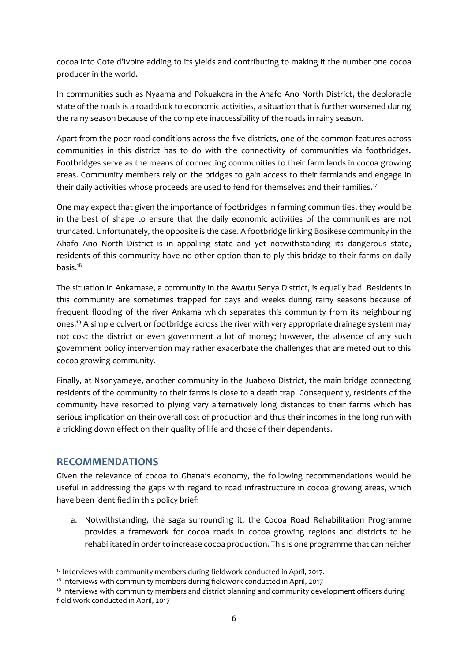cocoa into Cote d'Ivoire adding to its yields and contributing to making it the number one cocoa producer in the world.

In communities such as Nyaama and Pokuakora in the Ahafo Ano North District, the deplorable state of the roads is a roadblock to economic activities, a situation that is further worsened during the rainy season because of the complete inaccessibility of the roads in rainy season.

Apart from the poor road conditions across the five districts, one of the common features across communities in this district has to do with the connectivity of communities via footbridges. Footbridges serve as the means of connecting communities to their farm lands in cocoa growing areas. Community members rely on the bridges to gain access to their farmlands and engage in their daily activities whose proceeds are used to fend for themselves and their families.<sup>17</sup>

One may expect that given the importance of footbridges in farming communities, they would be in the best of shape to ensure that the daily economic activities of the communities are not truncated. Unfortunately, the opposite is the case. A footbridge linking Bosikese community in the Ahafo Ano North District is in appalling state and yet notwithstanding its dangerous state, residents of this community have no other option than to ply this bridge to their farms on daily basis.<sup>18</sup>

The situation in Ankamase, a community in the Awutu Senya District, is equally bad. Residents in this community are sometimes trapped for days and weeks during rainy seasons because of frequent flooding of the river Ankama which separates this community from its neighbouring ones. <sup>19</sup> A simple culvert or footbridge across the river with very appropriate drainage system may not cost the district or even government a lot of money; however, the absence of any such government policy intervention may rather exacerbate the challenges that are meted out to this cocoa growing community.

Finally, at Nsonyameye, another community in the Juaboso District, the main bridge connecting residents of the community to their farms is close to a death trap. Consequently, residents of the community have resorted to plying very alternatively long distances to their farms which has serious implication on their overall cost of production and thus their incomes in the long run with a trickling down effect on their quality of life and those of their dependants.

### <span id="page-5-0"></span>**RECOMMENDATIONS**

1

Given the relevance of cocoa to Ghana's economy, the following recommendations would be useful in addressing the gaps with regard to road infrastructure in cocoa growing areas, which have been identified in this policy brief:

a. Notwithstanding, the saga surrounding it, the Cocoa Road Rehabilitation Programme provides a framework for cocoa roads in cocoa growing regions and districts to be rehabilitated in order to increase cocoa production. This is one programme that can neither

<sup>&</sup>lt;sup>17</sup> Interviews with community members during fieldwork conducted in April, 2017.

<sup>&</sup>lt;sup>18</sup> Interviews with community members during fieldwork conducted in April, 2017

<sup>19</sup> Interviews with community members and district planning and community development officers during field work conducted in April, 2017